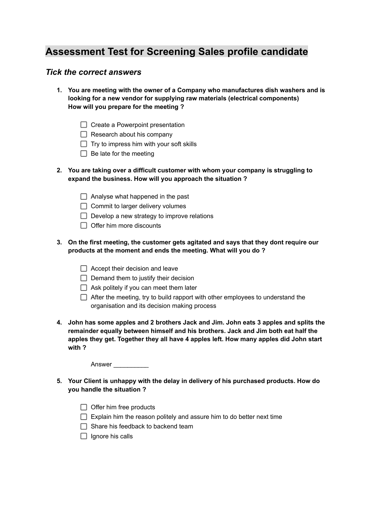## **Assessment Test for Screening Sales profile candidate**

## *Tick the correct answers*

- **1. You are meeting with the owner of a Company who manufactures dish washers and is looking for a new vendor for supplying raw materials (electrical components) How will you prepare for the meeting ?**
	- $\Box$  Create a Powerpoint presentation
	- $\Box$  Research about his company
	- $\Box$  Try to impress him with your soft skills
	- $\Box$  Be late for the meeting
- **2. You are taking over a difficult customer with whom your company is struggling to expand the business. How will you approach the situation ?**
	- $\Box$  Analyse what happened in the past
	- $\Box$  Commit to larger delivery volumes
	- $\Box$  Develop a new strategy to improve relations
	- $\Box$  Offer him more discounts
- **3. On the first meeting, the customer gets agitated and says that they dont require our products at the moment and ends the meeting. What will you do ?**
	- $\Box$  Accept their decision and leave
	- $\Box$  Demand them to justify their decision
	- $\Box$  Ask politely if you can meet them later
	- $\Box$  After the meeting, try to build rapport with other employees to understand the organisation and its decision making process
- **4. John has some apples and 2 brothers Jack and Jim. John eats 3 apples and splits the remainder equally between himself and his brothers. Jack and Jim both eat half the apples they get. Together they all have 4 apples left. How many apples did John start with ?**

Answer \_\_\_\_\_\_\_\_\_\_

- **5. Your Client is unhappy with the delay in delivery of his purchased products. How do you handle the situation ?**
	- $\Box$  Offer him free products
	- $\Box$  Explain him the reason politely and assure him to do better next time
	- $\Box$  Share his feedback to backend team
	- $\Box$  Ignore his calls